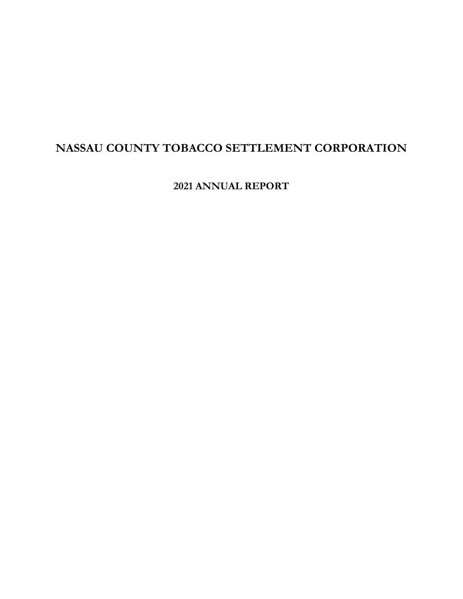# **NASSAU COUNTY TOBACCO SETTLEMENT CORPORATION**

**2021 ANNUAL REPORT**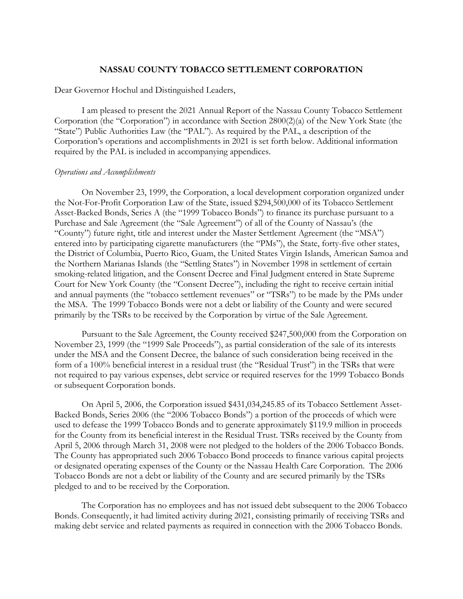#### **NASSAU COUNTY TOBACCO SETTLEMENT CORPORATION**

Dear Governor Hochul and Distinguished Leaders,

I am pleased to present the 2021 Annual Report of the Nassau County Tobacco Settlement Corporation (the "Corporation") in accordance with Section 2800(2)(a) of the New York State (the "State") Public Authorities Law (the "PAL"). As required by the PAL, a description of the Corporation's operations and accomplishments in 2021 is set forth below. Additional information required by the PAL is included in accompanying appendices.

#### *Operations and Accomplishments*

On November 23, 1999, the Corporation, a local development corporation organized under the Not-For-Profit Corporation Law of the State, issued \$294,500,000 of its Tobacco Settlement Asset-Backed Bonds, Series A (the "1999 Tobacco Bonds") to finance its purchase pursuant to a Purchase and Sale Agreement (the "Sale Agreement") of all of the County of Nassau's (the "County") future right, title and interest under the Master Settlement Agreement (the "MSA") entered into by participating cigarette manufacturers (the "PMs"), the State, forty-five other states, the District of Columbia, Puerto Rico, Guam, the United States Virgin Islands, American Samoa and the Northern Marianas Islands (the "Settling States") in November 1998 in settlement of certain smoking-related litigation, and the Consent Decree and Final Judgment entered in State Supreme Court for New York County (the "Consent Decree"), including the right to receive certain initial and annual payments (the "tobacco settlement revenues" or "TSRs") to be made by the PMs under the MSA. The 1999 Tobacco Bonds were not a debt or liability of the County and were secured primarily by the TSRs to be received by the Corporation by virtue of the Sale Agreement.

Pursuant to the Sale Agreement, the County received \$247,500,000 from the Corporation on November 23, 1999 (the "1999 Sale Proceeds"), as partial consideration of the sale of its interests under the MSA and the Consent Decree, the balance of such consideration being received in the form of a 100% beneficial interest in a residual trust (the "Residual Trust") in the TSRs that were not required to pay various expenses, debt service or required reserves for the 1999 Tobacco Bonds or subsequent Corporation bonds.

On April 5, 2006, the Corporation issued \$431,034,245.85 of its Tobacco Settlement Asset-Backed Bonds, Series 2006 (the "2006 Tobacco Bonds") a portion of the proceeds of which were used to defease the 1999 Tobacco Bonds and to generate approximately \$119.9 million in proceeds for the County from its beneficial interest in the Residual Trust. TSRs received by the County from April 5, 2006 through March 31, 2008 were not pledged to the holders of the 2006 Tobacco Bonds. The County has appropriated such 2006 Tobacco Bond proceeds to finance various capital projects or designated operating expenses of the County or the Nassau Health Care Corporation. The 2006 Tobacco Bonds are not a debt or liability of the County and are secured primarily by the TSRs pledged to and to be received by the Corporation.

The Corporation has no employees and has not issued debt subsequent to the 2006 Tobacco Bonds. Consequently, it had limited activity during 2021, consisting primarily of receiving TSRs and making debt service and related payments as required in connection with the 2006 Tobacco Bonds.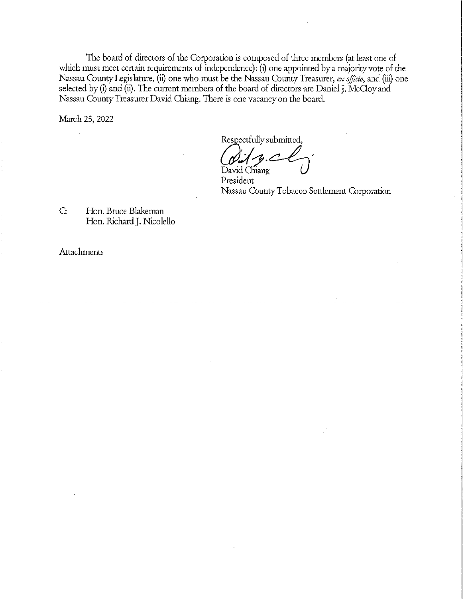The board of directors of the Corporation is composed of three members (at least one of which must meet certain requirements of independence): (i) one appointed by a majority vote of the Nassau County Legislature, (ii) one who must be the Nassau County Treasurer, ex officio, and (iii) one selected by (i) and (ii). The current members of the board of directors are Daniel J. McCloy and Nassau County Treasurer David Chiang. There is one vacancy on the board.

March 25, 2022

Respectfully submitted,

David Chiang

President Nassau County Tobacco Settlement Corporation

Hon. Bruce Blakeman  $\overline{C}$ Hon. Richard J. Nicolello

Attachments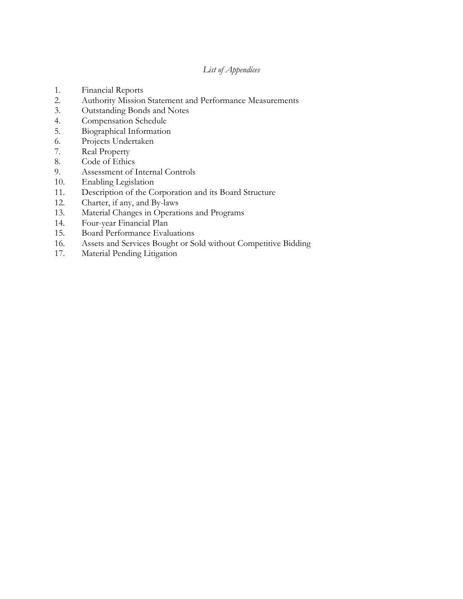### *List of Appendices*

- 1. Financial Reports
- 2. Authority Mission Statement and Performance Measurements
- 3. Outstanding Bonds and Notes
- 4. Compensation Schedule
- 5. Biographical Information
- 6. Projects Undertaken
- 7. Real Property
- 8. Code of Ethics
- 9. Assessment of Internal Controls
- 10. Enabling Legislation
- 11. Description of the Corporation and its Board Structure
- 12. Charter, if any, and By-laws
- 13. Material Changes in Operations and Programs
- 14. Four-year Financial Plan
- 15. Board Performance Evaluations
- 16. Assets and Services Bought or Sold without Competitive Bidding
- 17. Material Pending Litigation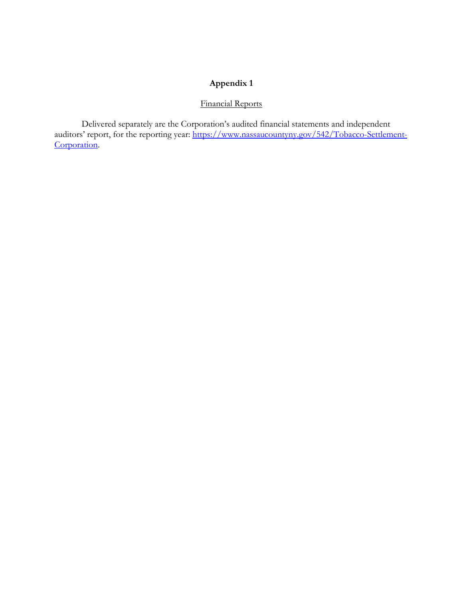### Financial Reports

Delivered separately are the Corporation's audited financial statements and independent auditors' report, for the reporting year: [https://www.nassaucountyny.gov/542/Tobacco-Settlement-](https://www.nassaucountyny.gov/542/Tobacco-Settlement-Corporation)[Corporation.](https://www.nassaucountyny.gov/542/Tobacco-Settlement-Corporation)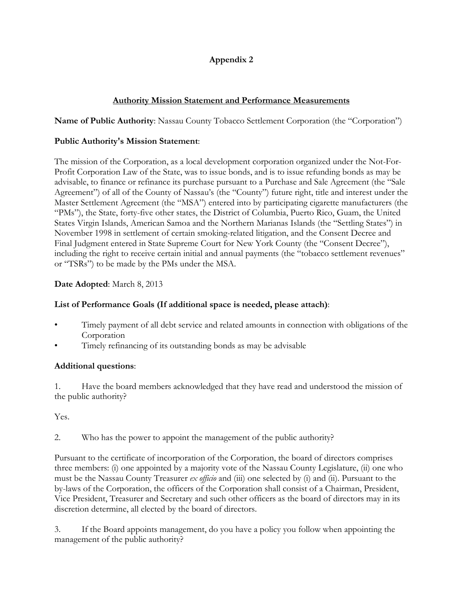### **Authority Mission Statement and Performance Measurements**

Name of Public Authority: Nassau County Tobacco Settlement Corporation (the "Corporation")

# **Public Authority's Mission Statement**:

The mission of the Corporation, as a local development corporation organized under the Not-For-Profit Corporation Law of the State, was to issue bonds, and is to issue refunding bonds as may be advisable, to finance or refinance its purchase pursuant to a Purchase and Sale Agreement (the "Sale Agreement") of all of the County of Nassau's (the "County") future right, title and interest under the Master Settlement Agreement (the "MSA") entered into by participating cigarette manufacturers (the "PMs"), the State, forty-five other states, the District of Columbia, Puerto Rico, Guam, the United States Virgin Islands, American Samoa and the Northern Marianas Islands (the "Settling States") in November 1998 in settlement of certain smoking-related litigation, and the Consent Decree and Final Judgment entered in State Supreme Court for New York County (the "Consent Decree"), including the right to receive certain initial and annual payments (the "tobacco settlement revenues" or "TSRs") to be made by the PMs under the MSA.

# **Date Adopted**: March 8, 2013

# **List of Performance Goals (If additional space is needed, please attach)**:

- Timely payment of all debt service and related amounts in connection with obligations of the Corporation
- Timely refinancing of its outstanding bonds as may be advisable

### **Additional questions**:

1. Have the board members acknowledged that they have read and understood the mission of the public authority?

### Yes.

2. Who has the power to appoint the management of the public authority?

Pursuant to the certificate of incorporation of the Corporation, the board of directors comprises three members: (i) one appointed by a majority vote of the Nassau County Legislature, (ii) one who must be the Nassau County Treasurer *ex officio* and (iii) one selected by (i) and (ii). Pursuant to the by-laws of the Corporation, the officers of the Corporation shall consist of a Chairman, President, Vice President, Treasurer and Secretary and such other officers as the board of directors may in its discretion determine, all elected by the board of directors.

3. If the Board appoints management, do you have a policy you follow when appointing the management of the public authority?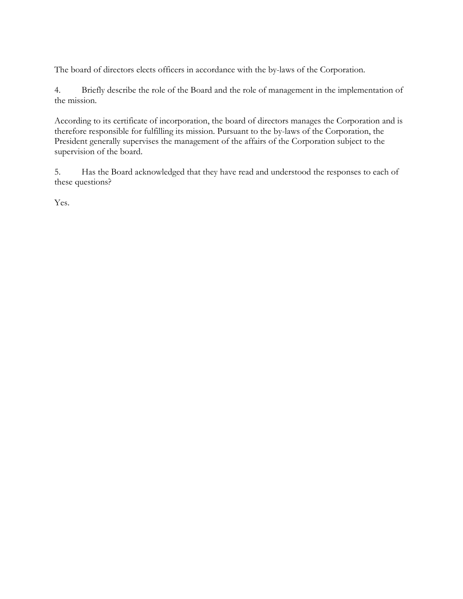The board of directors elects officers in accordance with the by-laws of the Corporation.

4. Briefly describe the role of the Board and the role of management in the implementation of the mission.

According to its certificate of incorporation, the board of directors manages the Corporation and is therefore responsible for fulfilling its mission. Pursuant to the by-laws of the Corporation, the President generally supervises the management of the affairs of the Corporation subject to the supervision of the board.

5. Has the Board acknowledged that they have read and understood the responses to each of these questions?

Yes.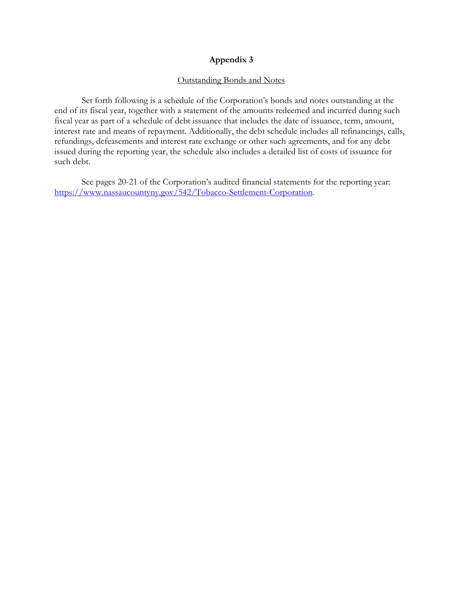#### Outstanding Bonds and Notes

Set forth following is a schedule of the Corporation's bonds and notes outstanding at the end of its fiscal year, together with a statement of the amounts redeemed and incurred during such fiscal year as part of a schedule of debt issuance that includes the date of issuance, term, amount, interest rate and means of repayment. Additionally, the debt schedule includes all refinancings, calls, refundings, defeasements and interest rate exchange or other such agreements, and for any debt issued during the reporting year, the schedule also includes a detailed list of costs of issuance for such debt.

See pages 20-21 of the Corporation's audited financial statements for the reporting year: [https://www.nassaucountyny.gov/542/Tobacco-Settlement-Corporation.](https://www.nassaucountyny.gov/542/Tobacco-Settlement-Corporation)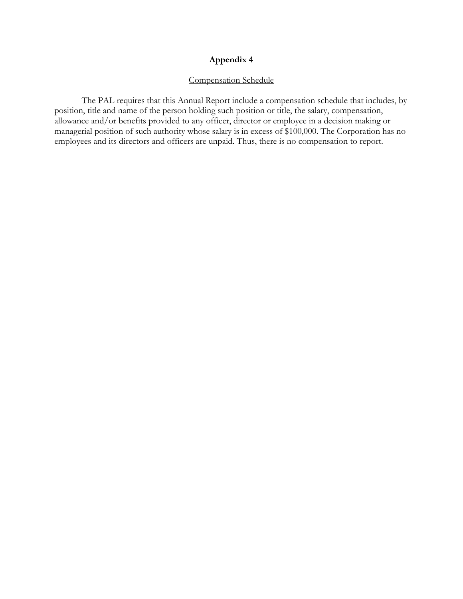### Compensation Schedule

The PAL requires that this Annual Report include a compensation schedule that includes, by position, title and name of the person holding such position or title, the salary, compensation, allowance and/or benefits provided to any officer, director or employee in a decision making or managerial position of such authority whose salary is in excess of \$100,000. The Corporation has no employees and its directors and officers are unpaid. Thus, there is no compensation to report.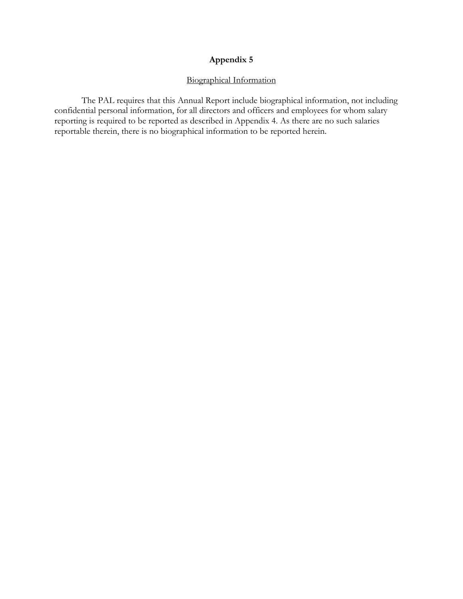### Biographical Information

The PAL requires that this Annual Report include biographical information, not including confidential personal information, for all directors and officers and employees for whom salary reporting is required to be reported as described in Appendix 4. As there are no such salaries reportable therein, there is no biographical information to be reported herein.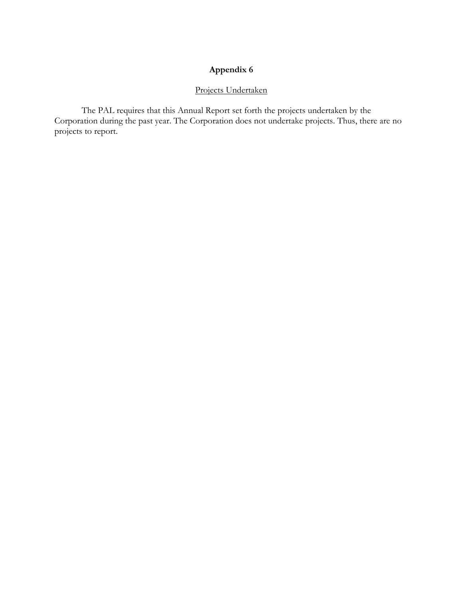### Projects Undertaken

The PAL requires that this Annual Report set forth the projects undertaken by the Corporation during the past year. The Corporation does not undertake projects. Thus, there are no projects to report.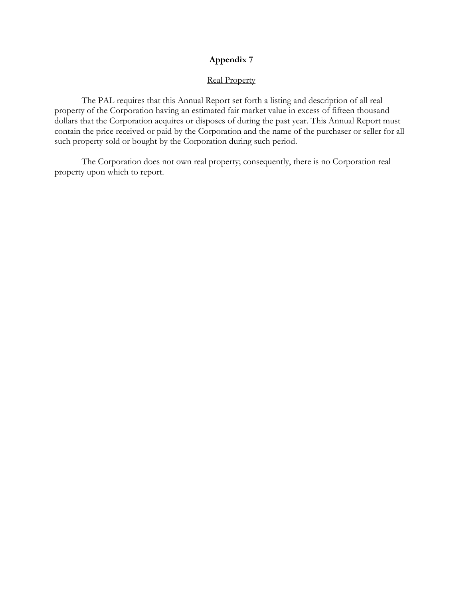### Real Property

The PAL requires that this Annual Report set forth a listing and description of all real property of the Corporation having an estimated fair market value in excess of fifteen thousand dollars that the Corporation acquires or disposes of during the past year. This Annual Report must contain the price received or paid by the Corporation and the name of the purchaser or seller for all such property sold or bought by the Corporation during such period.

The Corporation does not own real property; consequently, there is no Corporation real property upon which to report.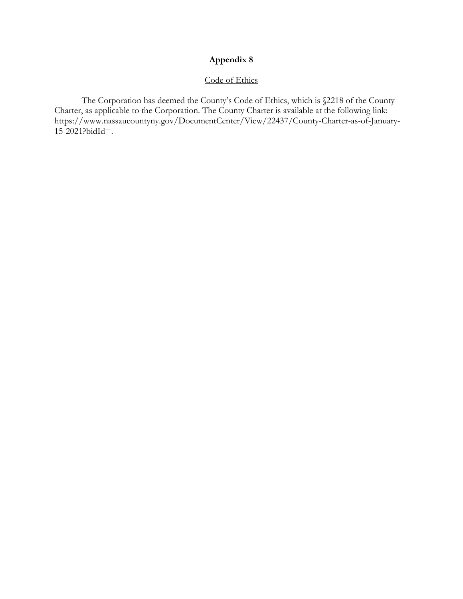### Code of Ethics

The Corporation has deemed the County's Code of Ethics, which is §2218 of the County Charter, as applicable to the Corporation. The County Charter is available at the following link: https://www.nassaucountyny.gov/DocumentCenter/View/22437/County-Charter-as-of-January-15-2021?bidId=.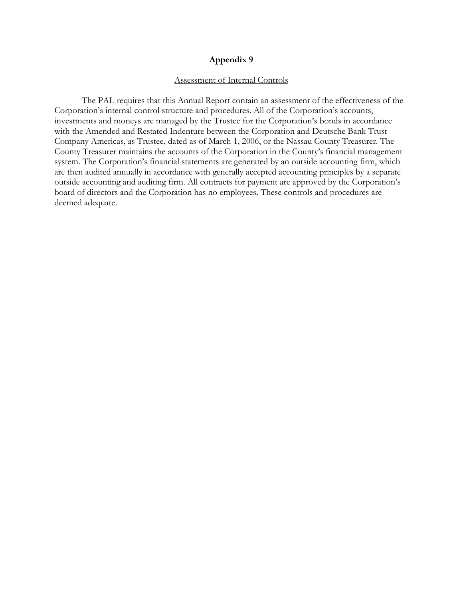#### Assessment of Internal Controls

The PAL requires that this Annual Report contain an assessment of the effectiveness of the Corporation's internal control structure and procedures. All of the Corporation's accounts, investments and moneys are managed by the Trustee for the Corporation's bonds in accordance with the Amended and Restated Indenture between the Corporation and Deutsche Bank Trust Company Americas, as Trustee, dated as of March 1, 2006, or the Nassau County Treasurer. The County Treasurer maintains the accounts of the Corporation in the County's financial management system. The Corporation's financial statements are generated by an outside accounting firm, which are then audited annually in accordance with generally accepted accounting principles by a separate outside accounting and auditing firm. All contracts for payment are approved by the Corporation's board of directors and the Corporation has no employees. These controls and procedures are deemed adequate.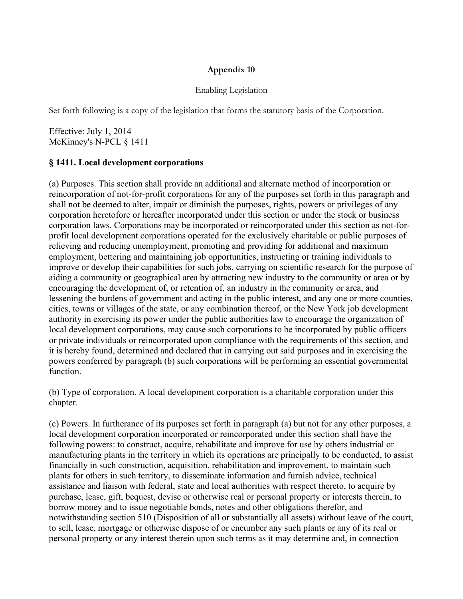#### Enabling Legislation

Set forth following is a copy of the legislation that forms the statutory basis of the Corporation.

Effective: July 1, 2014 McKinney's N-PCL § 1411

### **§ 1411. Local development corporations**

(a) Purposes. This section shall provide an additional and alternate method of incorporation or reincorporation of not-for-profit corporations for any of the purposes set forth in this paragraph and shall not be deemed to alter, impair or diminish the purposes, rights, powers or privileges of any corporation heretofore or hereafter incorporated under this section or under the stock or business corporation laws. Corporations may be incorporated or reincorporated under this section as not-forprofit local development corporations operated for the exclusively charitable or public purposes of relieving and reducing unemployment, promoting and providing for additional and maximum employment, bettering and maintaining job opportunities, instructing or training individuals to improve or develop their capabilities for such jobs, carrying on scientific research for the purpose of aiding a community or geographical area by attracting new industry to the community or area or by encouraging the development of, or retention of, an industry in the community or area, and lessening the burdens of government and acting in the public interest, and any one or more counties, cities, towns or villages of the state, or any combination thereof, or the New York job development authority in exercising its power under the public authorities law to encourage the organization of local development corporations, may cause such corporations to be incorporated by public officers or private individuals or reincorporated upon compliance with the requirements of this section, and it is hereby found, determined and declared that in carrying out said purposes and in exercising the powers conferred by paragraph (b) such corporations will be performing an essential governmental function.

(b) Type of corporation. A local development corporation is a charitable corporation under this chapter.

(c) Powers. In furtherance of its purposes set forth in paragraph (a) but not for any other purposes, a local development corporation incorporated or reincorporated under this section shall have the following powers: to construct, acquire, rehabilitate and improve for use by others industrial or manufacturing plants in the territory in which its operations are principally to be conducted, to assist financially in such construction, acquisition, rehabilitation and improvement, to maintain such plants for others in such territory, to disseminate information and furnish advice, technical assistance and liaison with federal, state and local authorities with respect thereto, to acquire by purchase, lease, gift, bequest, devise or otherwise real or personal property or interests therein, to borrow money and to issue negotiable bonds, notes and other obligations therefor, and notwithstanding section 510 (Disposition of all or substantially all assets) without leave of the court, to sell, lease, mortgage or otherwise dispose of or encumber any such plants or any of its real or personal property or any interest therein upon such terms as it may determine and, in connection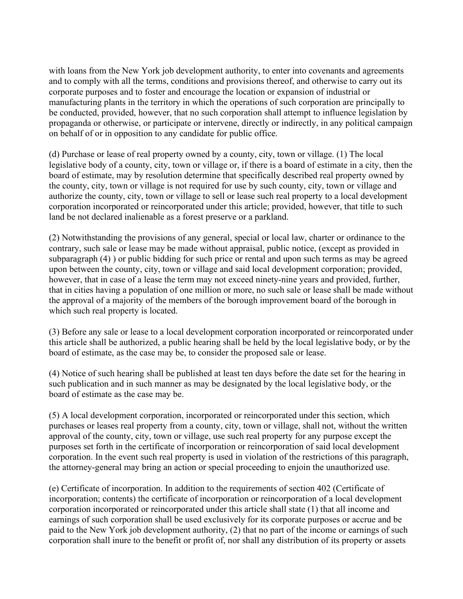with loans from the New York job development authority, to enter into covenants and agreements and to comply with all the terms, conditions and provisions thereof, and otherwise to carry out its corporate purposes and to foster and encourage the location or expansion of industrial or manufacturing plants in the territory in which the operations of such corporation are principally to be conducted, provided, however, that no such corporation shall attempt to influence legislation by propaganda or otherwise, or participate or intervene, directly or indirectly, in any political campaign on behalf of or in opposition to any candidate for public office.

(d) Purchase or lease of real property owned by a county, city, town or village. (1) The local legislative body of a county, city, town or village or, if there is a board of estimate in a city, then the board of estimate, may by resolution determine that specifically described real property owned by the county, city, town or village is not required for use by such county, city, town or village and authorize the county, city, town or village to sell or lease such real property to a local development corporation incorporated or reincorporated under this article; provided, however, that title to such land be not declared inalienable as a forest preserve or a parkland.

(2) Notwithstanding the provisions of any general, special or local law, charter or ordinance to the contrary, such sale or lease may be made without appraisal, public notice, (except as provided in subparagraph (4) ) or public bidding for such price or rental and upon such terms as may be agreed upon between the county, city, town or village and said local development corporation; provided, however, that in case of a lease the term may not exceed ninety-nine years and provided, further, that in cities having a population of one million or more, no such sale or lease shall be made without the approval of a majority of the members of the borough improvement board of the borough in which such real property is located.

(3) Before any sale or lease to a local development corporation incorporated or reincorporated under this article shall be authorized, a public hearing shall be held by the local legislative body, or by the board of estimate, as the case may be, to consider the proposed sale or lease.

(4) Notice of such hearing shall be published at least ten days before the date set for the hearing in such publication and in such manner as may be designated by the local legislative body, or the board of estimate as the case may be.

(5) A local development corporation, incorporated or reincorporated under this section, which purchases or leases real property from a county, city, town or village, shall not, without the written approval of the county, city, town or village, use such real property for any purpose except the purposes set forth in the certificate of incorporation or reincorporation of said local development corporation. In the event such real property is used in violation of the restrictions of this paragraph, the attorney-general may bring an action or special proceeding to enjoin the unauthorized use.

(e) Certificate of incorporation. In addition to the requirements of section 402 (Certificate of incorporation; contents) the certificate of incorporation or reincorporation of a local development corporation incorporated or reincorporated under this article shall state (1) that all income and earnings of such corporation shall be used exclusively for its corporate purposes or accrue and be paid to the New York job development authority, (2) that no part of the income or earnings of such corporation shall inure to the benefit or profit of, nor shall any distribution of its property or assets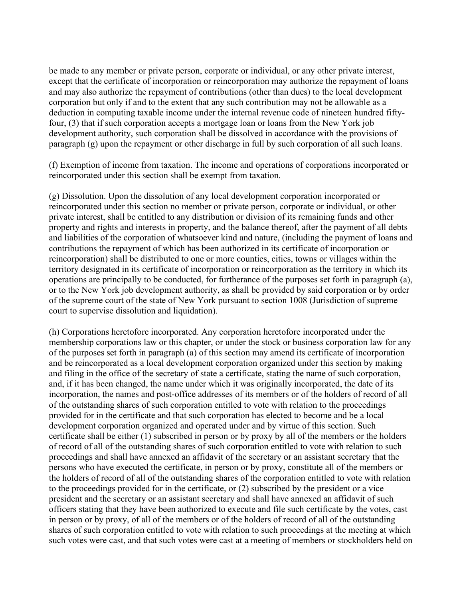be made to any member or private person, corporate or individual, or any other private interest, except that the certificate of incorporation or reincorporation may authorize the repayment of loans and may also authorize the repayment of contributions (other than dues) to the local development corporation but only if and to the extent that any such contribution may not be allowable as a deduction in computing taxable income under the internal revenue code of nineteen hundred fiftyfour, (3) that if such corporation accepts a mortgage loan or loans from the New York job development authority, such corporation shall be dissolved in accordance with the provisions of paragraph (g) upon the repayment or other discharge in full by such corporation of all such loans.

(f) Exemption of income from taxation. The income and operations of corporations incorporated or reincorporated under this section shall be exempt from taxation.

(g) Dissolution. Upon the dissolution of any local development corporation incorporated or reincorporated under this section no member or private person, corporate or individual, or other private interest, shall be entitled to any distribution or division of its remaining funds and other property and rights and interests in property, and the balance thereof, after the payment of all debts and liabilities of the corporation of whatsoever kind and nature, (including the payment of loans and contributions the repayment of which has been authorized in its certificate of incorporation or reincorporation) shall be distributed to one or more counties, cities, towns or villages within the territory designated in its certificate of incorporation or reincorporation as the territory in which its operations are principally to be conducted, for furtherance of the purposes set forth in paragraph (a), or to the New York job development authority, as shall be provided by said corporation or by order of the supreme court of the state of New York pursuant to section 1008 (Jurisdiction of supreme court to supervise dissolution and liquidation).

(h) Corporations heretofore incorporated. Any corporation heretofore incorporated under the membership corporations law or this chapter, or under the stock or business corporation law for any of the purposes set forth in paragraph (a) of this section may amend its certificate of incorporation and be reincorporated as a local development corporation organized under this section by making and filing in the office of the secretary of state a certificate, stating the name of such corporation, and, if it has been changed, the name under which it was originally incorporated, the date of its incorporation, the names and post-office addresses of its members or of the holders of record of all of the outstanding shares of such corporation entitled to vote with relation to the proceedings provided for in the certificate and that such corporation has elected to become and be a local development corporation organized and operated under and by virtue of this section. Such certificate shall be either (1) subscribed in person or by proxy by all of the members or the holders of record of all of the outstanding shares of such corporation entitled to vote with relation to such proceedings and shall have annexed an affidavit of the secretary or an assistant secretary that the persons who have executed the certificate, in person or by proxy, constitute all of the members or the holders of record of all of the outstanding shares of the corporation entitled to vote with relation to the proceedings provided for in the certificate, or (2) subscribed by the president or a vice president and the secretary or an assistant secretary and shall have annexed an affidavit of such officers stating that they have been authorized to execute and file such certificate by the votes, cast in person or by proxy, of all of the members or of the holders of record of all of the outstanding shares of such corporation entitled to vote with relation to such proceedings at the meeting at which such votes were cast, and that such votes were cast at a meeting of members or stockholders held on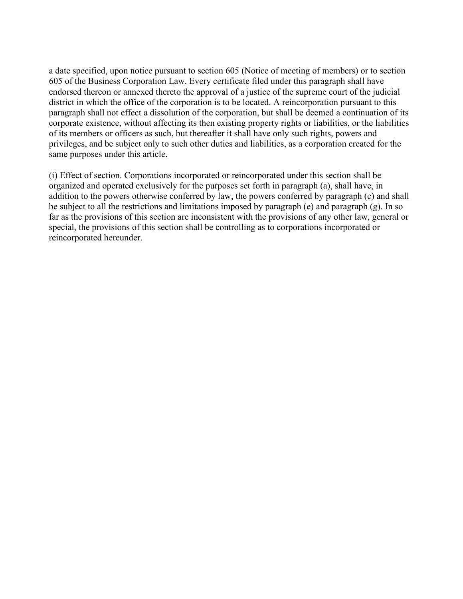a date specified, upon notice pursuant to section 605 (Notice of meeting of members) or to section 605 of the Business Corporation Law. Every certificate filed under this paragraph shall have endorsed thereon or annexed thereto the approval of a justice of the supreme court of the judicial district in which the office of the corporation is to be located. A reincorporation pursuant to this paragraph shall not effect a dissolution of the corporation, but shall be deemed a continuation of its corporate existence, without affecting its then existing property rights or liabilities, or the liabilities of its members or officers as such, but thereafter it shall have only such rights, powers and privileges, and be subject only to such other duties and liabilities, as a corporation created for the same purposes under this article.

(i) Effect of section. Corporations incorporated or reincorporated under this section shall be organized and operated exclusively for the purposes set forth in paragraph (a), shall have, in addition to the powers otherwise conferred by law, the powers conferred by paragraph (c) and shall be subject to all the restrictions and limitations imposed by paragraph (e) and paragraph (g). In so far as the provisions of this section are inconsistent with the provisions of any other law, general or special, the provisions of this section shall be controlling as to corporations incorporated or reincorporated hereunder.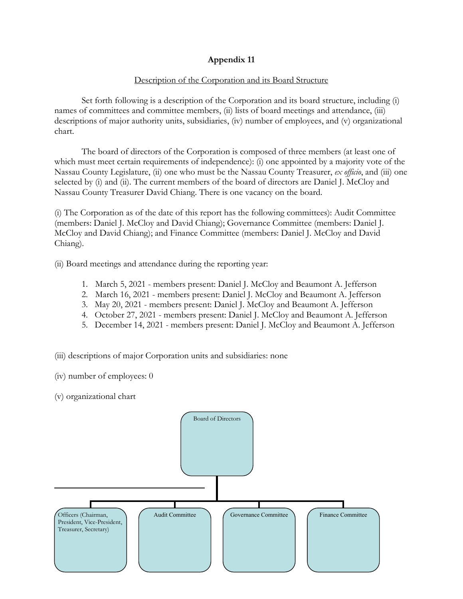### Description of the Corporation and its Board Structure

Set forth following is a description of the Corporation and its board structure, including (i) names of committees and committee members, (ii) lists of board meetings and attendance, (iii) descriptions of major authority units, subsidiaries, (iv) number of employees, and (v) organizational chart.

The board of directors of the Corporation is composed of three members (at least one of which must meet certain requirements of independence): (i) one appointed by a majority vote of the Nassau County Legislature, (ii) one who must be the Nassau County Treasurer, *ex officio*, and (iii) one selected by (i) and (ii). The current members of the board of directors are Daniel J. McCloy and Nassau County Treasurer David Chiang. There is one vacancy on the board.

(i) The Corporation as of the date of this report has the following committees): Audit Committee (members: Daniel J. McCloy and David Chiang); Governance Committee (members: Daniel J. McCloy and David Chiang); and Finance Committee (members: Daniel J. McCloy and David Chiang).

(ii) Board meetings and attendance during the reporting year:

- 1. March 5, 2021 members present: Daniel J. McCloy and Beaumont A. Jefferson
- 2. March 16, 2021 members present: Daniel J. McCloy and Beaumont A. Jefferson
- 3. May 20, 2021 members present: Daniel J. McCloy and Beaumont A. Jefferson
- 4. October 27, 2021 members present: Daniel J. McCloy and Beaumont A. Jefferson
- 5. December 14, 2021 members present: Daniel J. McCloy and Beaumont A. Jefferson

(iii) descriptions of major Corporation units and subsidiaries: none

(iv) number of employees: 0

(v) organizational chart

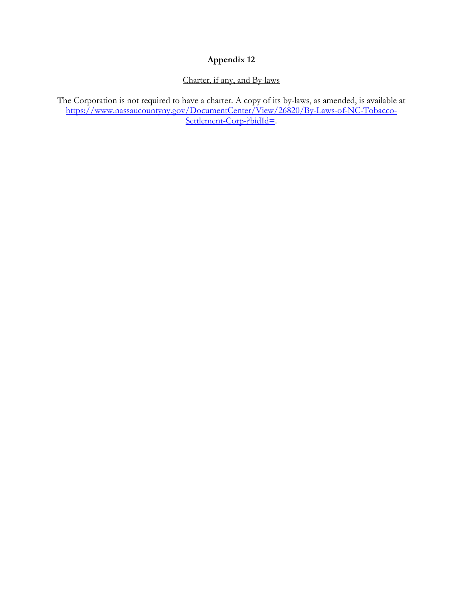# Charter, if any, and By-laws

The Corporation is not required to have a charter. A copy of its by-laws, as amended, is available at [https://www.nassaucountyny.gov/DocumentCenter/View/26820/By-Laws-of-NC-Tobacco-](https://www.nassaucountyny.gov/DocumentCenter/View/26820/By-Laws-of-NC-Tobacco-Settlement-Corp-?bidId=)[Settlement-Corp-?bidId=.](https://www.nassaucountyny.gov/DocumentCenter/View/26820/By-Laws-of-NC-Tobacco-Settlement-Corp-?bidId=)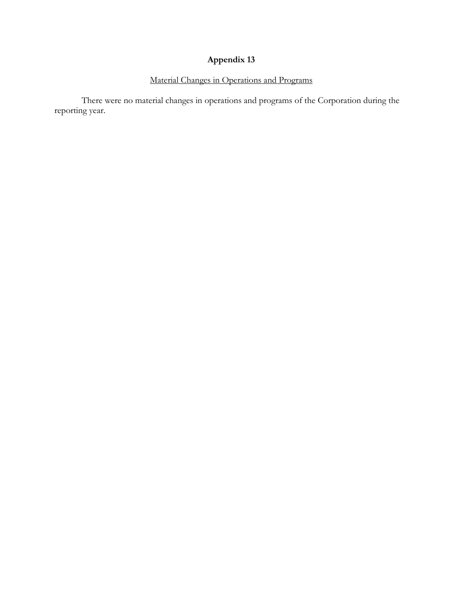# Material Changes in Operations and Programs

There were no material changes in operations and programs of the Corporation during the reporting year.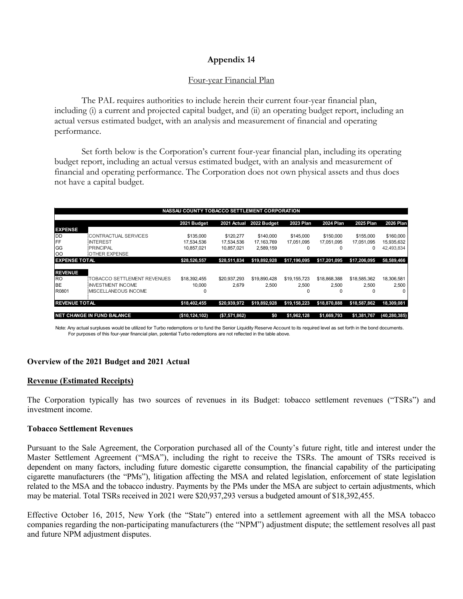#### Four-year Financial Plan

The PAL requires authorities to include herein their current four-year financial plan, including (i) a current and projected capital budget, and (ii) an operating budget report, including an actual versus estimated budget, with an analysis and measurement of financial and operating performance.

Set forth below is the Corporation's current four-year financial plan, including its operating budget report, including an actual versus estimated budget, with an analysis and measurement of financial and operating performance. The Corporation does not own physical assets and thus does not have a capital budget.

| NASSAU COUNTY TOBACCO SETTLEMENT CORPORATION |                             |                |               |              |                  |              |                  |                  |
|----------------------------------------------|-----------------------------|----------------|---------------|--------------|------------------|--------------|------------------|------------------|
|                                              |                             | 2021 Budget    | 2021 Actual   | 2022 Budget  | <b>2023 Plan</b> | 2024 Plan    | <b>2025 Plan</b> | <b>2026 Plan</b> |
| <b>EXPENSE</b>                               |                             |                |               |              |                  |              |                  |                  |
| DD                                           | <b>CONTRACTUAL SERVICES</b> | \$135,000      | \$120,277     | \$140,000    | \$145,000        | \$150,000    | \$155,000        | \$160,000        |
| FF                                           | INTEREST                    | 17,534,536     | 17,534,536    | 17, 163, 769 | 17,051,095       | 17.051.095   | 17,051,095       | 15,935,632       |
| <b>GG</b>                                    | <b>PRINCIPAL</b>            | 10,857,021     | 10,857,021    | 2,589,159    | 0                |              | 0                | 42,493,834       |
| loo                                          | <b>OTHER EXPENSE</b>        |                |               |              |                  |              |                  |                  |
| <b>EXPENSE TOTAL</b>                         |                             | \$28,526,557   | \$28,511,834  | \$19,892,928 | \$17,196,095     | \$17,201,095 | \$17,206,095     | 58,589,466       |
| <b>REVENUE</b>                               |                             |                |               |              |                  |              |                  |                  |
| <b>RO</b>                                    | TOBACCO SETTLEMENT REVENUES | \$18,392,455   | \$20,937,293  | \$19,890,428 | \$19,155,723     | \$18,868,388 | \$18,585,362     | 18,306,581       |
| <b>BE</b>                                    | <b>INVESTMENT INCOME</b>    | 10.000         | 2.679         | 2,500        | 2,500            | 2,500        | 2,500            | 2,500            |
| R0801                                        | MISCELLANEOUS INCOME        | $\Omega$       |               |              | 0                |              |                  | 0                |
| <b>REVENUE TOTAL</b>                         |                             | \$18,402,455   | \$20,939,972  | \$19,892,928 | \$19,158,223     | \$18,870,888 | \$18,587,862     | 18,309,081       |
| <b>NET CHANGE IN FUND BALANCE</b>            |                             | (\$10,124,102) | (\$7,571,862) | \$0          | \$1,962,128      | \$1,669,793  | \$1,381,767      | (40,280,385)     |

Note: Any actual surpluses would be utilized for Turbo redemptions or to fund the Senior Liquidity Reserve Account to its required level as set forth in the bond documents. For purposes of this four-year financial plan, potential Turbo redemptions are not reflected in the table above.

### **Overview of the 2021 Budget and 2021 Actual**

#### **Revenue (Estimated Receipts)**

The Corporation typically has two sources of revenues in its Budget: tobacco settlement revenues ("TSRs") and investment income.

#### **Tobacco Settlement Revenues**

Pursuant to the Sale Agreement, the Corporation purchased all of the County's future right, title and interest under the Master Settlement Agreement ("MSA"), including the right to receive the TSRs. The amount of TSRs received is dependent on many factors, including future domestic cigarette consumption, the financial capability of the participating cigarette manufacturers (the "PMs"), litigation affecting the MSA and related legislation, enforcement of state legislation related to the MSA and the tobacco industry. Payments by the PMs under the MSA are subject to certain adjustments, which may be material. Total TSRs received in 2021 were \$20,937,293 versus a budgeted amount of \$18,392,455.

Effective October 16, 2015, New York (the "State") entered into a settlement agreement with all the MSA tobacco companies regarding the non-participating manufacturers (the "NPM") adjustment dispute; the settlement resolves all past and future NPM adjustment disputes.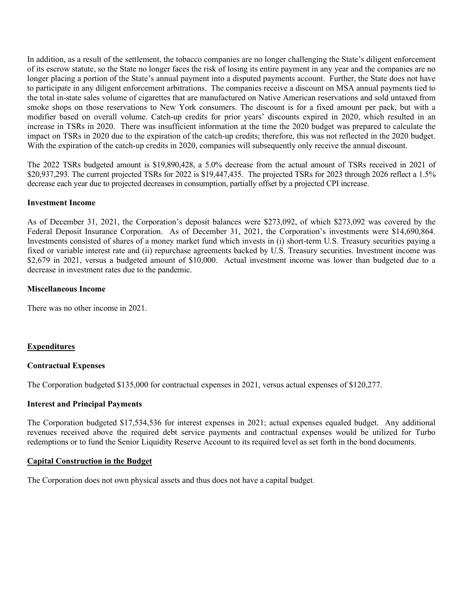In addition, as a result of the settlement, the tobacco companies are no longer challenging the State's diligent enforcement of its escrow statute, so the State no longer faces the risk of losing its entire payment in any year and the companies are no longer placing a portion of the State's annual payment into a disputed payments account. Further, the State does not have to participate in any diligent enforcement arbitrations. The companies receive a discount on MSA annual payments tied to the total in-state sales volume of cigarettes that are manufactured on Native American reservations and sold untaxed from smoke shops on those reservations to New York consumers. The discount is for a fixed amount per pack, but with a modifier based on overall volume. Catch-up credits for prior years' discounts expired in 2020, which resulted in an increase in TSRs in 2020. There was insufficient information at the time the 2020 budget was prepared to calculate the impact on TSRs in 2020 due to the expiration of the catch-up credits; therefore, this was not reflected in the 2020 budget. With the expiration of the catch-up credits in 2020, companies will subsequently only receive the annual discount.

The 2022 TSRs budgeted amount is \$19,890,428, a 5.0% decrease from the actual amount of TSRs received in 2021 of \$20,937,293. The current projected TSRs for 2022 is \$19,447,435. The projected TSRs for 2023 through 2026 reflect a 1.5% decrease each year due to projected decreases in consumption, partially offset by a projected CPI increase.

#### **Investment Income**

As of December 31, 2021, the Corporation's deposit balances were \$273,092, of which \$273,092 was covered by the Federal Deposit Insurance Corporation. As of December 31, 2021, the Corporation's investments were \$14,690,864. Investments consisted of shares of a money market fund which invests in (i) short-term U.S. Treasury securities paying a fixed or variable interest rate and (ii) repurchase agreements backed by U.S. Treasury securities. Investment income was \$2,679 in 2021, versus a budgeted amount of \$10,000. Actual investment income was lower than budgeted due to a decrease in investment rates due to the pandemic.

#### **Miscellaneous Income**

There was no other income in 2021.

### **Expenditures**

#### **Contractual Expenses**

The Corporation budgeted \$135,000 for contractual expenses in 2021, versus actual expenses of \$120,277.

#### **Interest and Principal Payments**

The Corporation budgeted \$17,534,536 for interest expenses in 2021; actual expenses equaled budget. Any additional revenues received above the required debt service payments and contractual expenses would be utilized for Turbo redemptions or to fund the Senior Liquidity Reserve Account to its required level as set forth in the bond documents.

#### **Capital Construction in the Budget**

The Corporation does not own physical assets and thus does not have a capital budget.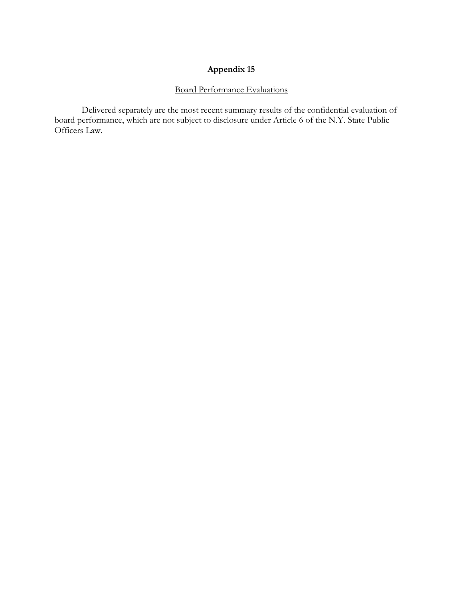# Board Performance Evaluations

Delivered separately are the most recent summary results of the confidential evaluation of board performance, which are not subject to disclosure under Article 6 of the N.Y. State Public Officers Law.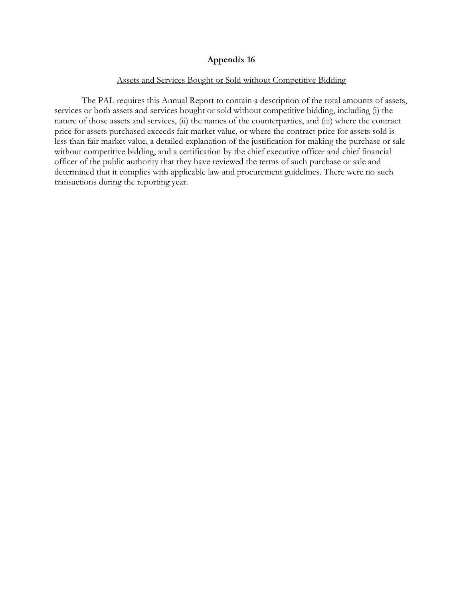#### Assets and Services Bought or Sold without Competitive Bidding

The PAL requires this Annual Report to contain a description of the total amounts of assets, services or both assets and services bought or sold without competitive bidding, including (i) the nature of those assets and services, (ii) the names of the counterparties, and (iii) where the contract price for assets purchased exceeds fair market value, or where the contract price for assets sold is less than fair market value, a detailed explanation of the justification for making the purchase or sale without competitive bidding, and a certification by the chief executive officer and chief financial officer of the public authority that they have reviewed the terms of such purchase or sale and determined that it complies with applicable law and procurement guidelines. There were no such transactions during the reporting year.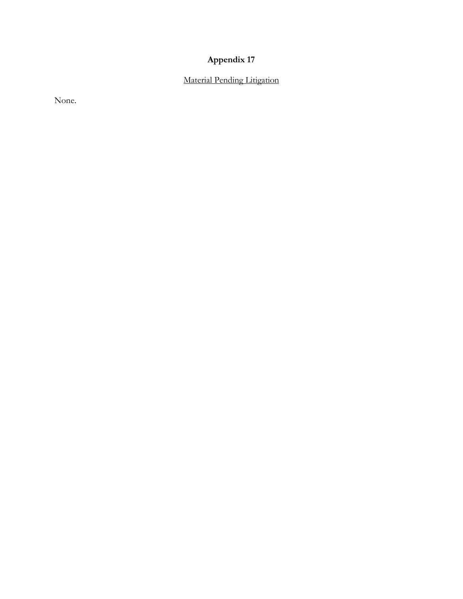# Material Pending Litigation

None.